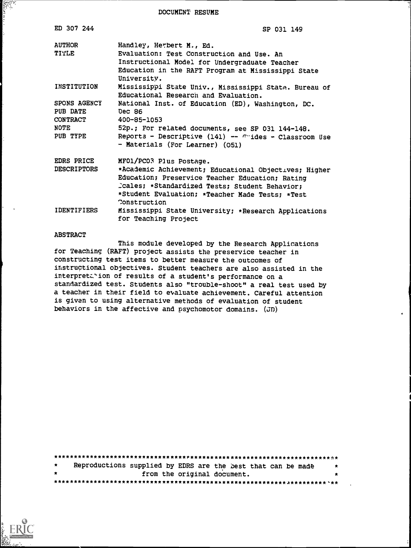DOCUMENT RESUME

| ED 307 244                                                      | SP 031 149                                                                                                                                                                                                                                              |
|-----------------------------------------------------------------|---------------------------------------------------------------------------------------------------------------------------------------------------------------------------------------------------------------------------------------------------------|
| <b>AUTHOR</b><br>TITLE                                          | Handley, Herbert M., Ed.<br>Evaluation: Test Construction and Use. An<br>Instructional Model for Undergraduate Teacher<br>Education in the RAFT Program at Mississippi State<br>University.                                                             |
| INSTITUTION                                                     | Mississippi State Univ., Mississippi State. Bureau of<br>Educational Research and Evaluation.                                                                                                                                                           |
| SPONS AGENCY<br>PUB DATE<br><b>CONTRACT</b><br>NOTE<br>PUB TYPE | National Inst. of Education (ED), Washington, DC.<br>Dec 86<br>400-85-1053<br>52p.; For related documents, see SP 031 144-148.<br>Reports - Descriptive (141) -- $\pi$ ides - Classroom Use<br>- Materials (For Learner) (051)                          |
| EDRS PRICE<br><b>DESCRIPTORS</b>                                | MFO1/PC03 Plus Postage.<br>*Academic Achievement; Educational Objectives; Higher<br>Education; Preservice Teacher Education; Rating<br>Cales; *Standardized Tests; Student Behavior;<br>*Student Evaluation; *Teacher Made Tests; *Test<br>Construction |
| <b>IDENTIFIERS</b>                                              | Mississippi State University; *Research Applications<br>for Teaching Project                                                                                                                                                                            |

#### ABSTRACT

la<br>Elisabetean<br>Elisabetean

This module developed by the Research Applications for Teaching (RAFT) project assists the preservice teacher in constructing test items to better measure the outcomes of instructional objectives. Student teachers are also assisted in the interpretation of results of a student's performance on a standardized test. Students also "trouble-shoot" a real test used by a teacher in their field to evaluate achievement. Careful attention is given to using alternative methods of evaluation of student behaviors in the affective and psychomotor domains. (JD)

| $\star$ |  | Reproductions supplied by EDRS are the best that can be made | . . |
|---------|--|--------------------------------------------------------------|-----|
| $\star$ |  | from the original document.                                  |     |
|         |  |                                                              |     |

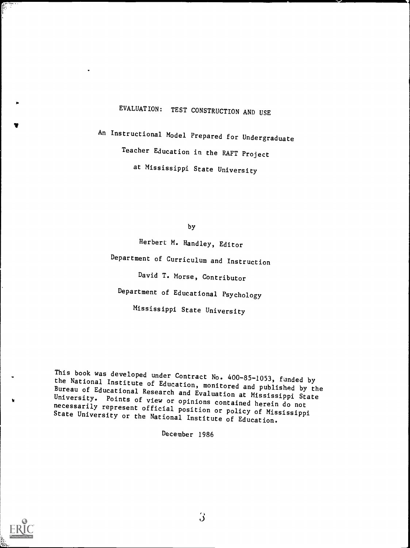# EVALUATION: TEST CONSTRUCTION AND USE

An Instructional Model Prepared for Undergraduate Teacher Education in the RAFT Project at Mississippi State University

by

Herbert M. Handley, Editor Department of Curriculum and Instruction David T. Morse, Contributor Department of Educational Psychology Mississippi State University

This book was developed under Contract No. 400-85-1053, funded by the National Institute of Education, monitored and published by the Bureau of Educational Research and Evaluation at Mississippi State<br>University. Points of view or opinions contained herein do not necessarily represent official position or policy of Mississippi<br>State University or the National Institute of Education.

December 1986



Ir

 $\hat{\bm{J}}$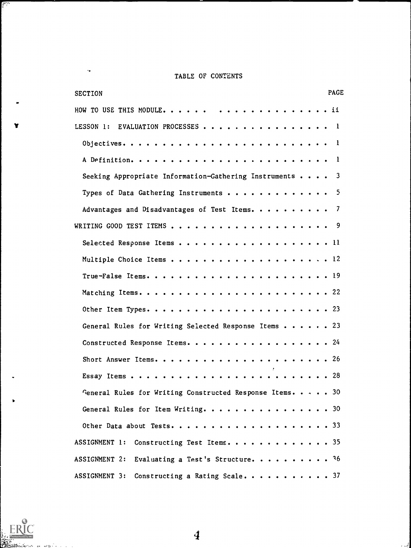## TABLE OF CONTENTS

| <b>PAGE</b><br><b>SECTION</b>                             |  |
|-----------------------------------------------------------|--|
|                                                           |  |
| LESSON 1: EVALUATION PROCESSES 1                          |  |
| - 1                                                       |  |
| -1                                                        |  |
| Seeking Appropriate Information-Gathering Instruments 3   |  |
| - 5<br>Types of Data Gathering Instruments                |  |
| Advantages and Disadvantages of Test Items. 7             |  |
|                                                           |  |
| Selected Response Items 11                                |  |
|                                                           |  |
|                                                           |  |
|                                                           |  |
|                                                           |  |
| General Rules for Writing Selected Response Items 23      |  |
| Constructed Response Items. 24                            |  |
|                                                           |  |
|                                                           |  |
| General Rules for Writing Constructed Response Items. 30  |  |
| General Rules for Item Writing. 30                        |  |
| Other Data about Tests. 33                                |  |
| ASSIGNMENT 1:<br>Constructing Test Items. 35              |  |
| Evaluating a Test's Structure. 36<br><b>ASSIGNMENT 2:</b> |  |
| ASSIGNMENT 3:<br>Constructing a Rating Scale 37           |  |



 $\bullet$ 

V

 $\ddot{\phantom{a}}$ 

 $\frac{1}{2}$  ,  $\frac{1}{2}$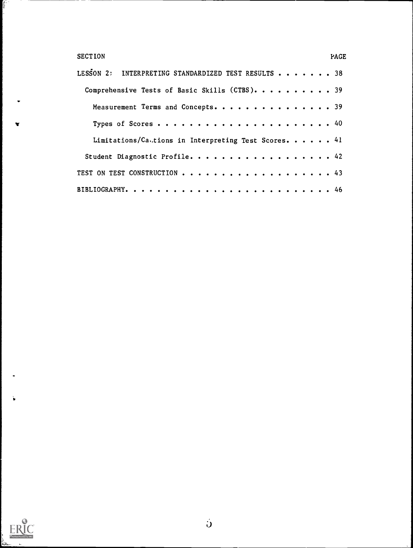| <b>SECTION</b>                                      | <b>PAGE</b> |
|-----------------------------------------------------|-------------|
| LESSON 2: INTERPRETING STANDARDIZED TEST RESULTS 38 |             |
| Comprehensive Tests of Basic Skills (CTBS). 39      |             |
| Measurement Terms and Concepts. 39                  |             |
| Types of Scores 40                                  |             |
| Limitations/Cations in Interpreting Test Scores. 41 |             |
| Student Diagnostic Profile. 42                      |             |
| TEST ON TEST CONSTRUCTION 43                        |             |
|                                                     |             |



**Change**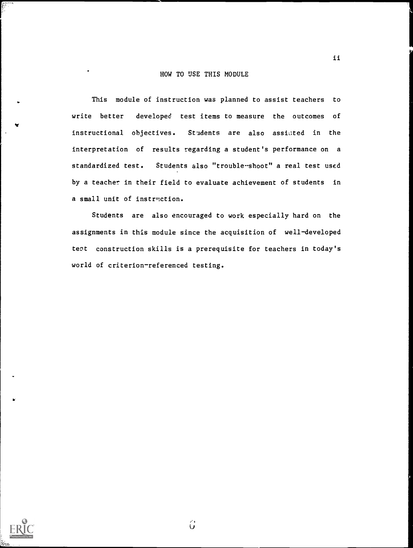#### HOW TO USE THIS MODULE

This module of instruction was planned to assist teachers to write better developed test items to measure the outcomes of instructional objectives. Students are also assisted in the interpretation of results regarding a student's performance on a standardized test. Students also "trouble-shoot" a real test used by a teacher in their field to evaluate achievement of students in a small unit of instruction.

Students are also encouraged to work especially hard on the assignments in this module since the acquisition of well-developed test construction skills is a prerequisite for teachers in today's world of criterion-referenced testing.



I.,

ist.<br>U

 $\ddot{\mathbf{u}}$ 

ii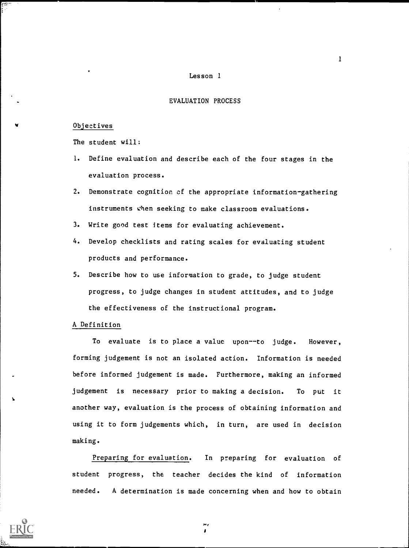#### Lesson 1

#### EVALUATION PROCESS

#### Objectives

w

i.

The student will:

- 1. Define evaluation and describe each of the four stages in the evaluation process.
- 2. Demonstrate cognition of the appropriate information-gathering instruments when seeking to make classroom evaluations.
- 3. Write good test items for evaluating achievement.
- 4. Develop checklists and rating scales for evaluating student products and performance.
- 5. Describe how to use information to grade, to judge student progress, to judge changes in student attitudes, and to judge the effectiveness of the instructional program.

#### A Definition

To evaluate is to place a value upon--to judge. However, forming judgement is not an isolated action. Information is needed before informed judgement is made. Furthermore, making an informed judgement is necessary prior to making a decision. To put it another way, evaluation is the process of obtaining information and using it to form judgements which, in turn, are used in decision making.

Preparing for evaluation. In preparing for evaluation of student progress, the teacher decides the kind of information needed. A determination is made concerning when and how to obtain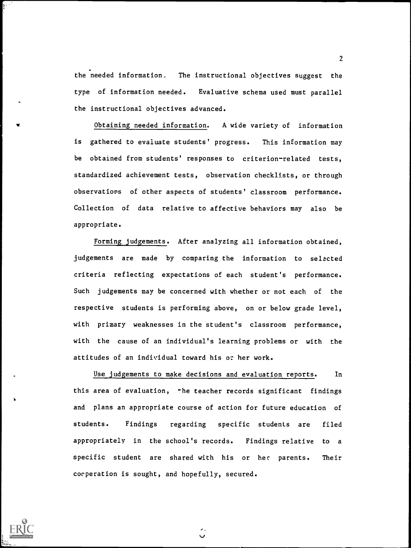the needed information. The instructional objectives suggest the type of information needed. Evaluative schema used must parallel the instructional objectives advanced.

4 Obtaining needed information. A wide variety of information is gathered to evaluate students' progress. This information may be obtained from students' responses to criterion-related tests, standardized achievement tests, observation checklists, or through observations of other aspects of students' classroom performance. Collection of data relative to affective behaviors may also be appropriate.

Forming judgements. After analyzing all information obtained, judgements are made by comparing the information to selected criteria reflecting expectations of each student's performance. Such judgements may be concerned with whether or not each of the respective students is performing above, on or below grade level, with primary weaknesses in the student's classroom performance, with the cause of an individual's learning problems or with the attitudes of an individual toward his or her work.

Use judgements to make decisions and evaluation reports. In this area of evaluation, the teacher records significant findings and plans an appropriate course of action for future education of students. Findings regarding specific students are filed appropriately in the school's records. Findings relative to a specific student are shared with his or hec parents. Their cooperation is sought, and hopefully, secured.

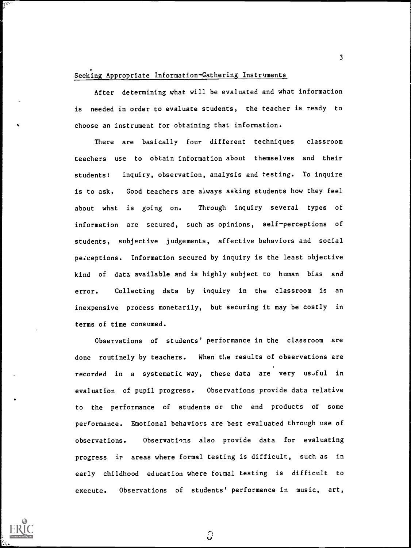#### Seeking Appropriate Information-Gathering Instruments

After determining what will be evaluated and what information is needed in order to evaluate students, the teacher is ready to choose an instrument for obtaining that information.

3

There are basically four different techniques classroom teachers use to obtain information about themselves and their students: inquiry, observation, analysis and testing. To inquire is to ask. Good teachers are always asking students how they feel about what is going on. Through inquiry several types of information are secured, such as opinions, self-perceptions of students, subjective judgements, affective behaviors and social perceptions. Information secured by inquiry is the least objective kind of data available and is highly subject to human bias and error. Collecting data by inquiry in the classroom is an inexpensive process monetarily, but securing it may be costly in terms of time consumed.

Observations of students' performance in the classroom are done routinely by teachers. When the results of observations are recorded in a systematic way, these data are very us.ful in evaluation of pupil progress. Observations provide data relative to the performance of students or the end products of some performance. Emotional behaviors are best evaluated through use of observations. Observations also provide data for evaluating progress ir areas where formal testing is difficult, such as in early childhood education where formal testing is difficult to execute. Observations of students' performance in music, art,

္ပ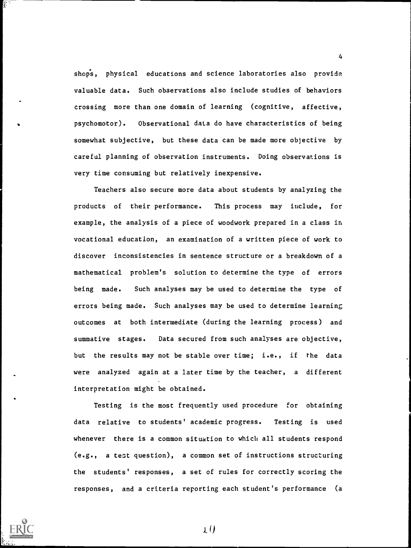shops, physical educations and science laboratories also provide valuable data. Such observations also include studies of behaviors crossing more than one domain of learning (cognitive, affective, psychomotor). Observational data do have characteristics of being somewhat subjective, but these data can be made more objective by careful planning of observation instruments. Doing observations is very time consuming but relatively inexpensive.

4

Teachers also secure more data about students by analyzing the products of their performance. This process may include, for example, the analysis of a piece of woodwork prepared in a class in vocational education, an examination of a written piece of work to discover inconsistencies in sentence structure or a breakdown of a mathematical problem's solution to determine the type of errors being made. Such analyses may be used to determine the type of errors being made. Such analyses may be used to determine learning outcomes at both intermediate (during the learning process) and summative stages. Data secured from such analyses are objective, but the results may not be stable over time; i.e., if the data were analyzed again at a later time by the teacher, a different interpretation might be obtained.

Testing is the most frequently used procedure for obtaining data relative to students' academic progress. Testing is used whenever there is a common situation to which all students respond (e.g., a test question), a common set of instructions structuring the students' responses, a set of rules for correctly scoring the responses, and a criteria reporting each student's performance (a

 $\lambda$  ()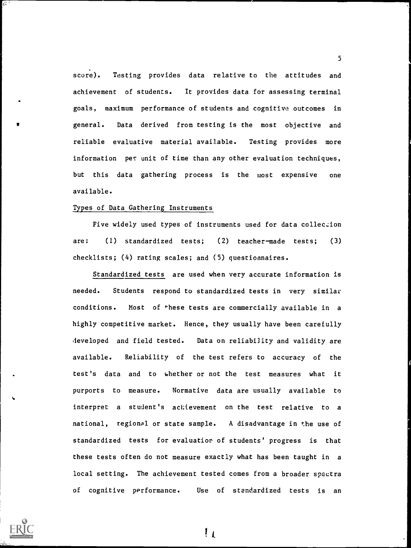score). Testing provides data relative to the attitudes and achievement of students. It provides data for assessing terminal goals, maximum performance of students and cognitive outcomes in general. Data derived from testing is the most objective and reliable evaluative material available. Testing provides more information per unit of time than any other evaluation techniques, but this data gathering process is the most expensive one available.

5

#### Types of Data Gathering Instruments

Five widely used types of instruments used for data colleczion are:  $(1)$  standardized tests;  $(2)$  teacher-made tests;  $(3)$ checklists; (4) rating scales; and (5) questionnaires.

Standardized tests are used when very accurate information is needed. Students respond to standardized tests in very similar conditions. Most of \*hese tests are commercially available in a highly competitive market. Hence, they usually have been carefully developed and field tested. Data on reliability and validity are available. Reliability of the test refers to accuracy of the . test's data and to whether or not the test measures what it purports to measure. Normative data are usually available to interpret a student's achievement on the test relative to a national, regional or state sample. A disadvantage in the use of standardized tests for evaluation of students' progress is that these tests often do not measure exactly what has been taught in a local setting. The achievement tested comes from a broader spectra of cognitive performance. Use of standardized tests is an



ि ।

 $\mathfrak{t}_1$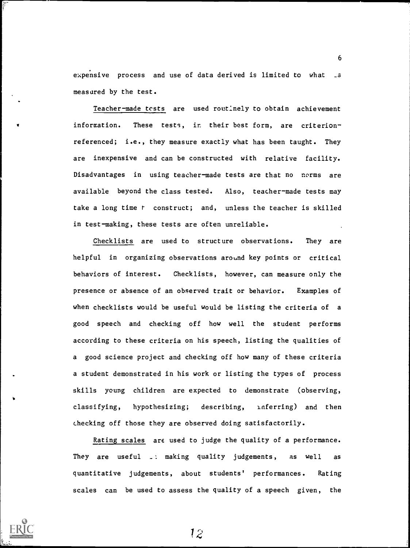expensive process and use of data derived is limited to what \_s measured by the test.

6

Teacher-made tests are used rout:nely to obtain achievement information. These tests, in their best form, are criterionreferenced; i.e., they measure exactly what has been taught. They are inexpensive and can be constructed with relative facility. Disadvantages in using teacher-made tests are that no norms are available beyond the class tested. Also, teacher-made tests may take a long time r construct; and, unless the teacher is skilled in test-making, these tests are often unreliable.

Checklists are used to structure observations. They are helpful in organizing observations around key points or critical behaviors of interest. Checklists, however, can measure only the presence or absence of an observed trait or behavior. Examples of when checklists would be useful would be listing the criteria of a good speech and checking off how well the student performs according to these criteria on his speech, listing the qualities of a good science project and checking off how many of these criteria a student demonstrated in his work or listing the types of process skills young children are expected to demonstrate (observing, classifying, hypothesizing; describing, inferring) and then checking off those they are observed doing satisfactorily.

Rating scales are used to judge the quality of a performance. They are useful \_: making quality judgements, as well as quantitative judgements, about students' performances. Rating scales can be used to assess the quality of a speech given, the

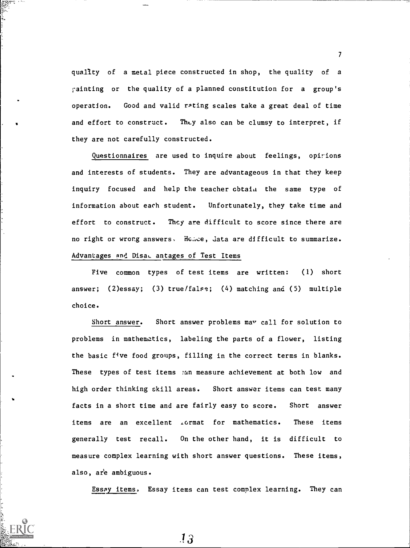quality of a metal piece constructed in shop, the quality of a ;-ainting or the quality of a planned constitution for a group's operation. Good and valid rating scales take a great deal of time and effort to construct. They also can be clumsy to interpret, if they are not carefully constructed.

E.

Questionnaires are used to inquire about feelings, opirions and interests of students. They are advantageous in that they keep inquiry focused and help the teacher cbtaiu the same type of information about each student. Unfortunately, they take time and effort to construct. They are difficult to score since there are no right or wrong answers. Hence, data are difficult to summarize. Advantages and Disal antages of Test Items

Five common types of test items are written: (1) short answer; (2)essay; (3) true/false; (4) matching and (5) multiple choice.

Short answer. Short answer problems may call for solution to problems in mathematics, labeling the parts of a flower, listing the basic five food groups, filling in the correct terms in blanks. These types of test items :an measure achievement at both low and high order thinking skill areas. Short answer items can test many facts in a short time and are fairly easy to score. Short answer items are an excellent ,ormat for mathematics. These items generally test recall. On the other hand, it is difficult to measure complex learning with short answer questions. These items, also, ar'e ambiguous.

Essay items. Essay items can test complex learning. They can

 $\mathcal{T}$  and  $\mathcal{T}$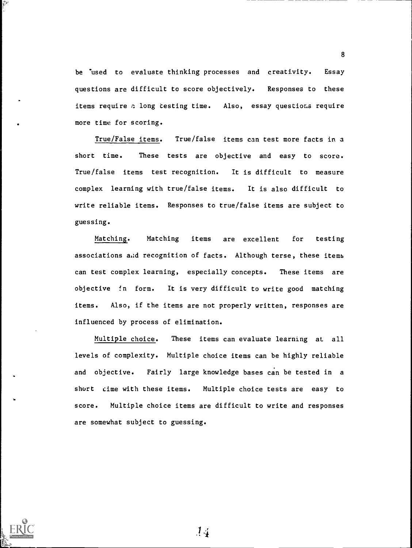be used to evaluate thinking processes and creativity. Essay questions are difficult to score objectively. Responses to these items require a long testing time. Also, essay questions require more time for scoring.

True/False items. True/false items can test more facts in a short time. These tests are objective and easy to score. True/false items test recognition. It is difficult to measure complex learning with true/false items. It is also difficult to write reliable items. Responses to true/false items are subject to guessing.

Matching. Matching items are excellent for testing associations and recognition of facts. Although terse, these items can test complex learning, especially concepts. These items are objective !n form. It is very difficult to write good matching items. Also, if the items are not properly written, responses are influenced by process of elimination.

Multiple choice. These items can evaluate learning at all levels of complexity. Multiple choice items can be highly reliable and objective. Fairly large knowledge bases can be tested in a short cime with these items. Multiple choice tests are easy to score. Multiple choice items are difficult to write and responses are somewhat subject to guessing.

 $14$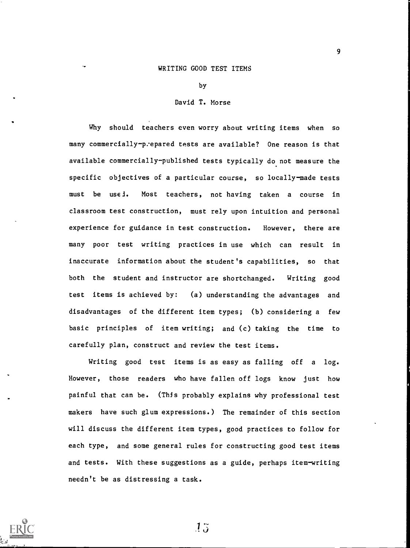#### WRITING GOOD TEST ITEMS

by

#### David T. Morse

Why should teachers even worry about writing items when so many commercially-prepared tests are available? One reason is that available commercially-published tests typically do not measure the specific objectives of a particular course, so locally-made tests must be used. Most teachers, not having taken a course in classroom test construction, must rely upon intuition and personal experience for guidance in test construction. However, there are many poor test writing practices in use which can result in inaccurate information about the student's capabilities, so that both the student and instructor are shortchanged. Writing good test items is achieved by: (a) understanding the advantages and disadvantages of the different item types; (b) considering a few basic principles of item writing; and (c) taking the time to carefully plan, construct and review the test items.

Writing good test items is as easy as falling off a log. However, those readers who have fallen off logs know just how painful that can be. (This probably explains why professional test makers have such glum expressions.) The remainder of this section will discuss the different item types, good practices to follow for each type, and some general rules for constructing good test items and tests. With these suggestions as a guide, perhaps item-writing needn't be as distressing a task.

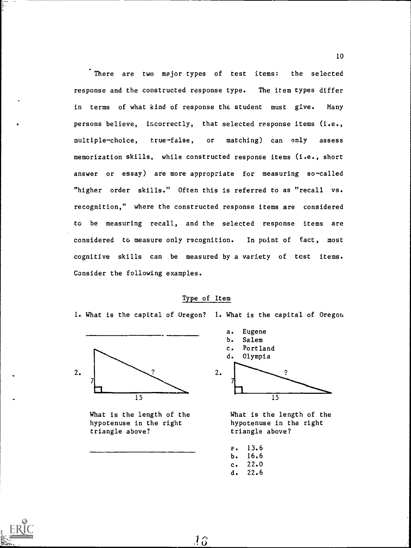There are two major types of test items: the selected response and the constructed response type. The item types differ in terms of what kind of response the student must give. Many persons believe, incorrectly, that selected response items (i.e., multiplechoice, truefalse, or matching) can only assess memorization skills, while constructed response items (i.e., short answer or essay) are more appropriate for measuring so-called "higher order skills." Often this is referred to as "recall vs. recognition," where the constructed response items are considered to be measuring recall, and the selected response items are considered to measure only recognition. In point of fact, most cognitive skills can be measured by a variety of test items. Consider the following examples.

#### Type of Item

1. What is the capital of Oregon? 1. What is the capital of Oregon



What is the length of the hypotenuse in the right triangle above?



What is the length of the hypotenuse in the right triangle above?

a. 13.6 b. 16.6 c. 22.0 d. 22.6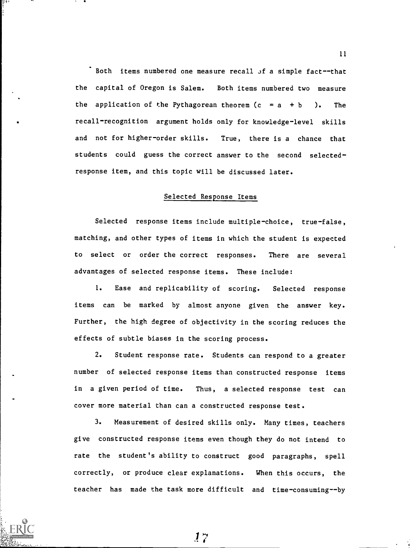Both items numbered one measure recall of a simple fact--that the capital of Oregon is Salem. Both items numbered two measure the application of the Pythagorean theorem  $(c = a + b)$ . The . recall-recognition argument holds only for knowledge-level skills and not for higher-order skills. True, there is a chance that students could guess the correct answer to the second selectedresponse item, and this topic will be discussed later.

#### Selected Response Items

Selected response items include multiple-choice, true-false, matching, and other types of items in which the student is expected to select or order the correct responses. There are several advantages of selected response items. These include:

1. Ease and replicability of scoring. Selected response items can be marked by almost anyone given the answer key. Further, the high degree of objectivity in the scoring reduces the effects of subtle biases in the scoring process.

2. Student response rate. Students can respond to a greater number of selected response items than constructed response items in a given period of time. Thus, a selected response test can cover more material than can a constructed response test.

3. Measurement of desired skills only. Many times, teachers give constructed response items even though they do not intend to rate the student's ability to construct good paragraphs, spell correctly, or produce clear explanations. When this occurs, the teacher has made the task more difficult and time-consuming--by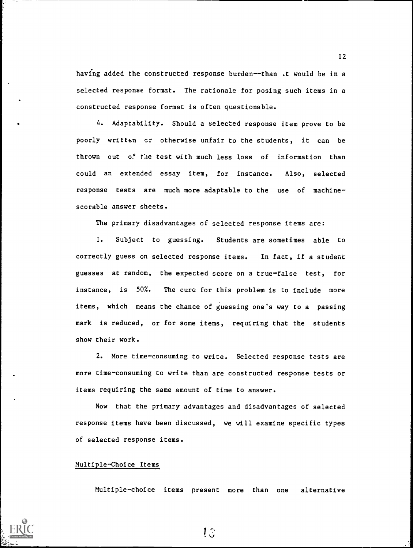having added the constructed response burden--than .t would be in a selected response format. The rationale for posing such items in a constructed response format is often questionable.

4. Adaptability. Should a selected response item prove to be poorly written sr otherwise unfair to the students, it can be thrown out of the test with much less loss of information than could an extended essay item, for instance. Also, selected response tests are much more adaptable to the use of machine scorable answer sheets.

The primary disadvantages of selected response items are:

1. Subject to guessing. Students are sometimes able to correctly guess on selected response items. In fact, if a student guesses at random, the expected score on a truefalse test, for instance, is 50%. The cure for this problem is to include more items, which means the chance of guessing one's way to a passing mark is reduced, or for some items, requiring that the students show their work.

2. More time-consuming to write. Selected response tests are more time-consuming to write than are constructed response tests or items requiring the same amount of time to answer.

Now that the primary advantages and disadvantages of selected response items have been discussed, we will examine specific types of selected response items.

#### Multiple-Choice Items

Multiplechoice items present more than one alternative



12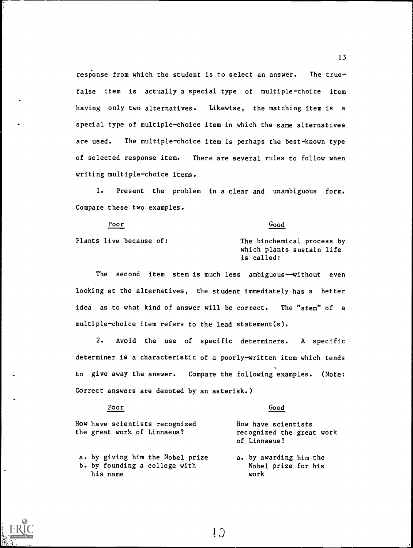response from which the student is to select an answer. The truefalse item is actually a special type of multiple-choice item having only two alternatives. Likewise, the matching item is a special type of multiple-choice item in which the same alternatives are used. The multiple-choice item is perhaps the best-known type of selected response item. There are several rules to follow when writing multiple-choice items.

1. Present the problem in a clear and unambiguous form. Compare these two examples.

Poor Good Plants live because of: The biochemical process by which plants sustain life is called:

The second item stem is much less ambiguous--without even looking at the alternatives, the student immediately has a better idea as to what kind of answer will be correct. The "stem" of a multiple-choice item refers to the lead statement(s).

2. Avoid the use of specific determiners. A specific determiner is a characteristic of a poorly-written item which tends to give away the answer. Compare the following examples. (Note: Correct answers are denoted by an asterisk.)

| Poor                                                                          | Good                                                             |
|-------------------------------------------------------------------------------|------------------------------------------------------------------|
| How have scientists recognized<br>the great work of Linnaeus?                 | How have scientists<br>recognized the great work<br>of Linnaeus? |
| a. by giving him the Nobel prize<br>b. by founding a college with<br>his name | a. by awarding him the<br>Nobel prize for his<br>work            |

!,)

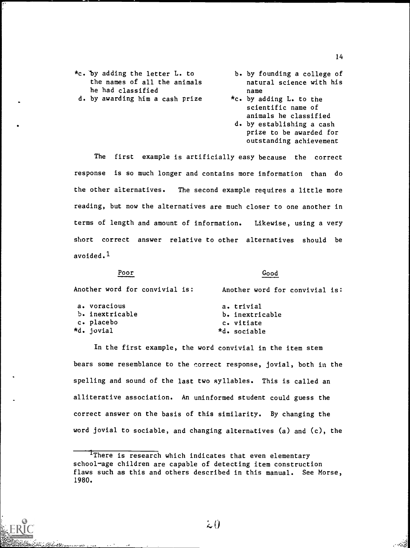- b. by founding a college of natural science with his name
- \*c. by adding L. to the scientific name of animals he classified
- d. by establishing a cash prize to be awarded for outstanding achievement

The first example is artificially easy because the correct response is so much longer and contains more information than do the other alternatives. The second example requires a little more reading, but now the alternatives are much closer to one another in terms of length and amount of information. Likewise, using a very short correct answer relative to other alternatives should be avoided. $1$ 

#### Poor

#### Good

| Another word for convivial is: | Another word for convivial is: |
|--------------------------------|--------------------------------|
| a. voracious                   | a. trivial                     |
| b. inextricable                | b. inextricable                |
| c. placebo                     | c. vitiate                     |
| *d. jovial                     | *d. sociable                   |

In the first example, the word convivial in the item stem bears some resemblance to the correct response, jovial, both in the spelling and sound of the last two syllables. This is called an alliterative association. An uninformed student could guess the correct answer on the basis of this similarity. By changing the word jovial to sociable, and changing alternatives (a) and (c), the

There is research which indicates that even elementary school-age children are capable of detecting item construction flaws such as this and others described in this manual. See Morse, 1980.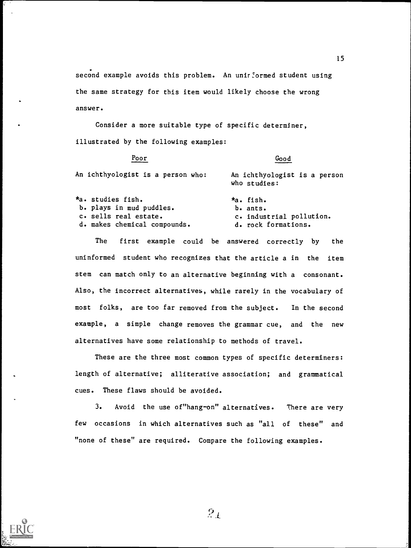second example avoids this problem. An unirformed student using the same strategy for this item would likely choose the wrong answer.

Consider a more suitable type of specific determiner, illustrated by the following examples:

| Good                                         |
|----------------------------------------------|
| An ichthyologist is a person<br>who studies: |
| $*a$ . fish.                                 |
| $b$ . ants.                                  |
| c. industrial pollution.                     |
| d. rock formations.                          |
|                                              |

The first example could be answered correctly by the uninformed student who recognizes that the article a in the item stem can match only to an alternative beginning with a consonant. Also, the incorrect alternatives, while rarely in the vocabulary of most folks, are too far removed from the subject. In the second example, a simple change removes the grammar cue, and the new alternatives have some relationship to methods of travel.

These are the three most common types of specific determiners: length of alternative; alliterative association; and grammatical cues. These flaws should be avoided.

3. Avoid the use of"hang-on" alternatives. There are very few occasions in which alternatives such as "all of these" and "none of these" are required. Compare the following examples.

 $2_{\mathcal{A}}$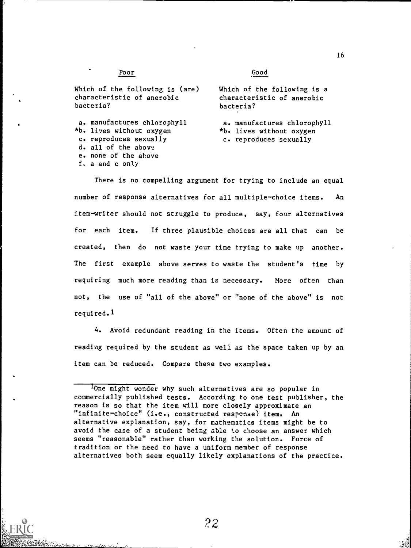#### Poor

#### Good

Which of the following is (are) characteristic of anerobic bacteria?

a. manufactures chlorophyll \*b. lives without oxygen c. reproduces sexually d. all of the above e. none of the above f. a and c only

Which of the following is a characteristic of anerobic bacteria?

a. manufactures chlorophyll \*b. lives without oxygen c. reproduces sexually

There is no compelling argument for trying to include an equal number of response alternatives for all multiple-choice items. An item-writer should not struggle to produce, say, four alternatives for each item. If three plausible choices are all that can be created, then do not waste your time trying to make up another. The first example above serves to waste the student's time by requiring much more reading than is necessary. More often than not, the use of "all of the above" or "none of the above" is not required.1

4. Avoid redundant reading in the items. Often the amount of reading required by the student as well as the space taken up by an item can be reduced. Compare these two examples.

<sup>&#</sup>x27;One might wonder why such alternatives are so popular in commercially published tests. According to one test publisher, the reason is so that the item will more closely approximate an "infinite-choice" (i.e., constructed response) item. An alternative explanation, say, for mathematics items might be to avoid the case of a student being able to choose an answer which seems "reasonable" rather than working the solution. Force of tradition or the need to have a uniform member of response alternatives both seem equally likely explanations of the practice.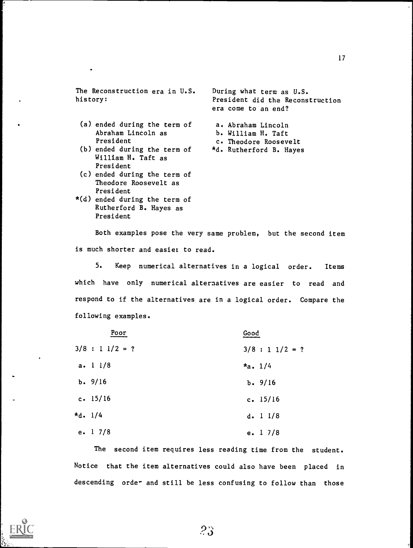The Reconstruction era in U.S. history:

- (a) ended during the term of Abraham Lincoln as President
- (b) ended during the term of William H. Taft as President
- (c) ended during the term of Theodore Roosevelt as President
- \*(d) ended during the term of Rutherford B. Hayes as President

During what term as U.S. President did the Reconstruction era come to an end?

a. Abraham Lincoln b. William H. Taft c. Theodore Roosevelt \*d. Rutherford B. Hayes

Both examples pose the very same problem, but the second item is much shorter and easier to read.

5. Keep numerical alternatives in a logical order. Items which have only numerical alternatives are easier to read and respond to if the alternatives are in a logical order. Compare the following examples.

| Poor                | Good             |
|---------------------|------------------|
| $3/8$ : 1 $1/2 = ?$ | $3/8 : 11/2 = ?$ |
| a. 11/8             | $*_{a.}$ 1/4     |
| b. 9/16             | b. 9/16          |
| c. 15/16            | c. $15/16$       |
| *d. 1/4             | d. 11/8          |
| e. 1 7/8            | e. $17/8$        |

The second item requires less reading time from the student. Notice that the item alternatives could also have been placed in descending order and still be less confusing to follow than those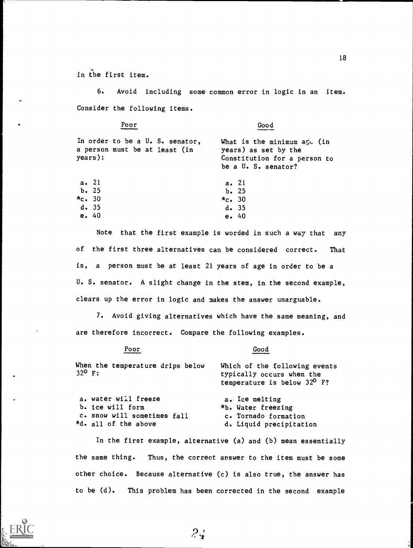in the first item.

6. Avoid including some common error in logic in an item. Consider the following items.

Poor Good

| In order to be a U. S. senator,<br>a person must be at least (in<br>years): | What is the minimum $a\leq c$ (in<br>years) as set by the<br>Constitution for a person to<br>be a U. S. senator? |
|-----------------------------------------------------------------------------|------------------------------------------------------------------------------------------------------------------|
| a. 21                                                                       | a. 21                                                                                                            |
| b.25                                                                        | b.25                                                                                                             |
| *c. 30                                                                      | $*_{c.} 30$                                                                                                      |
| d.35                                                                        | d.35                                                                                                             |
| e. 40                                                                       | e.40                                                                                                             |
|                                                                             |                                                                                                                  |

Note that the first example is worded in such a way that any of the first three alternatives can be considered correct. That is, a person must be at least 21 years of age in order to be a U. S. senator. A slight change in the stem, in the second example, clears up the error in logic and makes the answer unarguable.

7. Avoid giving alternatives which have the same meaning, and are therefore incorrect. Compare the following examples.

#### Poor Good

When the temperature drips below 32° F: a. water will freeze Which of the following events typically occurs when the temperature is below 32° F? a. Ice melting

b. ice will form c. snow will sometimes fall \*d. all of the above \*b. Water freezing c. Tornado formation d. Liquid precipitation

 $2\zeta$ 

In the first example, alternative (a) and (b) mean essentially the same thing. Thus, the correct answer to the item must be some other choice. Because alternative (c) is also true, the answer has to be (d). This problem has been corrected in the second example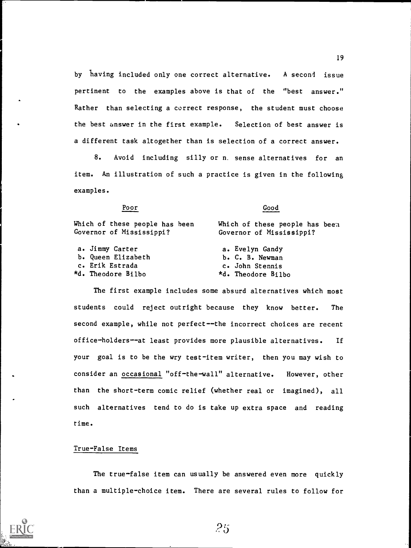by having included only one correct alternative. A second issue pertinent to the examples above is that of the "best answer." Rather than selecting a correct response, the student must choose the best answer in the first example. Selection of best answer is a different task altogether than is selection of a correct answer.

8. Avoid including silly or n. sense alternatives for an item. An illustration of such a practice is given in the following examples.

Poor Good

| Which of these people has been<br>Governor of Mississippi? | Which of these people has been<br>Governor of Mississippi? |
|------------------------------------------------------------|------------------------------------------------------------|
| a. Jimmy Carter                                            | a. Evelyn Gandy                                            |
| b. Queen Elizabeth                                         | b. C. B. Newman                                            |
| c. Erik Estrada                                            | c. John Stennis                                            |
| *d. Theodore Bilbo                                         | *d. Theodore Bilbo                                         |
|                                                            |                                                            |

The first example includes some absurd alternatives which most students could reject outright because they know better. The second example, while not perfect--the incorrect choices are recent office-holders--at least provides more plausible alternatives. If your goal is to be the wry test-item writer, then you may wish to consider an occasional "off-the-wall" alternative. However, other than the short-term comic relief (whether real or imagined), all such alternatives tend to do is take up extra space and reading time.

#### True-False Items

The true-false item can usually be answered even more quickly than a multiple-choice item. There are several rules to follow for

 $25$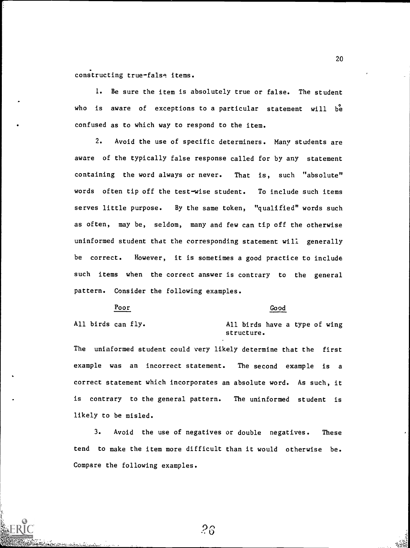constructing true-false items.

1. Be sure the item is absolutely true or false. The student who is aware of exceptions to a particular statement will be confused as to which way to respond to the item.

2. Avoid the use of specific determiners. Many students are aware of the typically false response called for by any statement containing the word always or never. That is, such "absolute" words often tip off the test-wise student. To include such items serves little purpose. By the same token, "qualified" words such as often, may be, seldom, many and few can tip off the otherwise uninformed student that the corresponding statement will generally be correct. However, it is sometimes a good practice to include such items when the correct answer is contrary to the general pattern. Consider the following examples.

Poor Good

All birds can fly. All birds have a type of wing structure.

The uninformed student could very likely determine that the first example was an incorrect statement. The second example is a correct statement which incorporates an absolute word. As such, it is contrary to the general pattern. The uninformed student is likely to be misled.

3. Avoid the use of negatives or double negatives. These tend to make the item more difficult than it would otherwise be. Compare the following examples.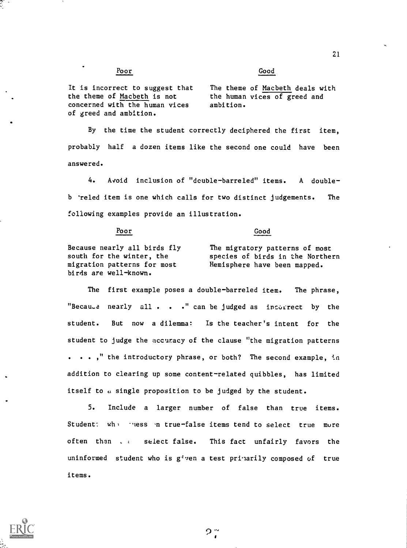Poor Good

It is incorrect to suggest that the theme of Macbeth is not concerned with the human vices of greed and ambition.

The theme of Macbeth deals with the human vices of greed and ambition.

By the time the student correctly deciphered the first item, probably half a dozen items like the second one could have been answered.

4. Avoid inclusion of "dcuble-barreled" items. A doubleb 'reled item is one which calls for two distinct judgements. The following examples provide an illustration.

Poor Good

Because nearly all birds fly south for the winter, the migration patterns for most birds are well-known.

The migratory patterns of most species of birds in the Northern Hemisphere have been mapped.

The first example poses a double-barreled item. The phrase, "Becau.e nearly all . . ." can be judged as incurrect by the student. But now a dilemma: Is the teacher's intent for the student to judge the accuracy of the clause "the migration patterns . ..," the introductory phrase, or both? The second example, in addition to clearing up some content-related quibbles, has limited itself to a single proposition to be judged by the student.

5. Include a larger number of false than true items. Student: whit these in true-false items tend to select true more often than . <sup>t</sup> select false. This fact unfairly favors the uninformed student who is  $g^{\dagger}$  ven a test prijarily composed of true items.

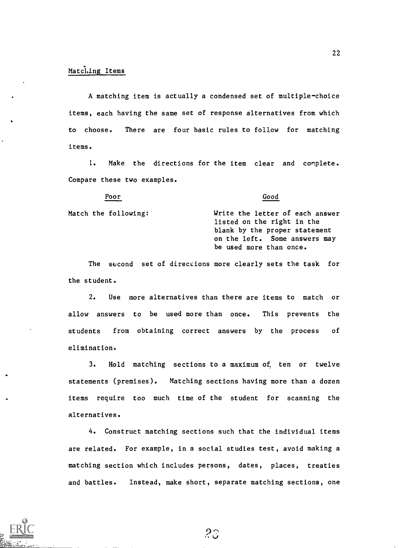#### Matching Items

Poor

A matching item is actually a condensed set of multiple-choice items, each having the same set of response alternatives from which to choose. There are four basic rules to follow for matching items.

1. Make the directions for the item clear and complete. Compare these two examples.

Good

Match the following: Write the letter of each answer listed on the right in the blank by the proper statement on the left. Some answers may be used more than once.

The second set of directions more clearly sets the task for the student.

2. Use more alternatives than there are items to match or allow answers to be used more than once. This prevents the students from obtaining correct answers by the process of elimination.

3. Hold matching sections to a maximum of, ten or twelve statements (premises). Matching sections having more than a dozen items require too much time of the student for scanning the alternatives.

4. Construct matching sections such that the individual items are related. For example, in a social studies test, avoid making a matching section which includes persons, dates, places, treaties and battles. Instead, make short, separate matching sections, one

23



 $\bullet$  III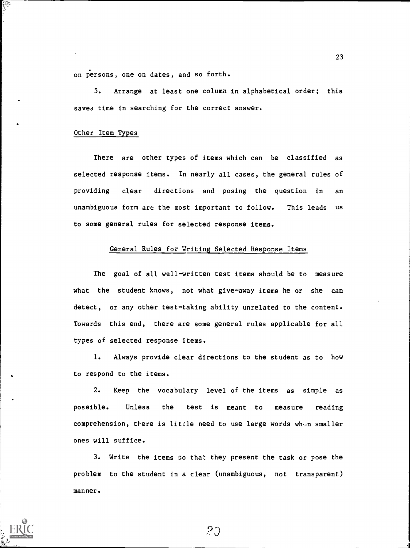. on persons, one on dates, and so forth.

5. Arrange at least one column in alphabetical order; this saves time in searching for the correct answer.

#### Other Item Types

There are other types of items which can be classified as selected response items. In nearly all cases, the general rules of providing clear directions and posing the question in an unambiguous form are the most important to follow. This leads us to some general rules for selected response items.

#### General Rules for Writing Selected Response Items

The goal of all well-written test items should be to measure what the student knows, not what give-away items he or she can detect, or any other test-taking ability unrelated to the content. Towards this end, there are some general rules applicable for all types of selected response items.

1. Always provide clear directions to the student as to how to respond to the items.

2. Keep the vocabulary level of the items as simple as possible. Unless the test is meant to measure reading comprehension, there is litcle need to use large words when smaller ones will suffice.

3. Write the items GO that they present the task or pose the problem to the student in a clear (unambiguous, not transparent) manner.

 $20$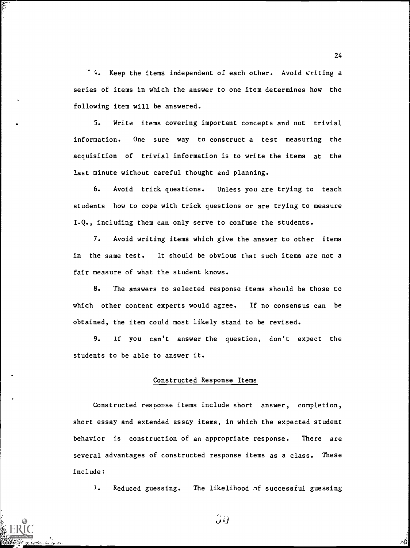'e. Keep the items independent of each other. Avoid writing a series of items in which the answer to one item determines how the following item will be answered.

5. Write items covering important concepts and not trivial information. One sure way to construct a test measuring the acquisition of trivial information is to write the items at the last minute without careful thought and planning.

6. Avoid trick questions. Unless you are trying to teach students how to cope with trick questions or are trying to measure I.Q., including them can only serve to confuse the students.

7. Avoid writing items which give the answer to other items in the same test. It should be obvious that such items are not a fair measure of what the student knows.

8. The answers to selected response items should be those to which other content experts would agree. If no consensus can be obtained, the item could most likely stand to be revised.

9. If you can't answer the question, don't expect the students to be able to answer it.

#### Constructed Response Items

Constructed response items include short answer, completion, short essay and extended essay items, in which the expected student behavior is construction of an appropriate response. There are several advantages of constructed response items as a class. These include:

I. Reduced guessing. The likelihood of successful guessing

24

 $\mathcal{G}(\cdot)$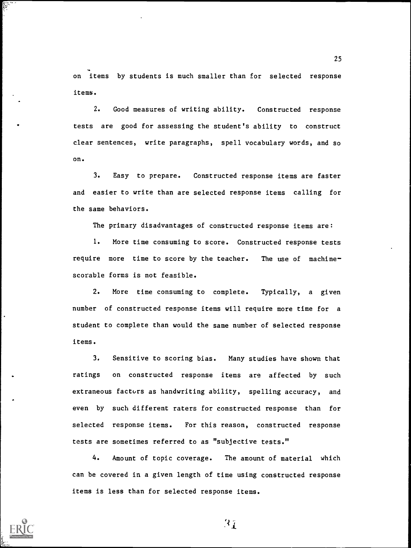on items by students is much smaller than for selected response items.

2. Good measures of writing ability. Constructed response tests are good for assessing the student's ability to construct clear sentences, write paragraphs, spell vocabulary words, and so on.

3. Easy to prepare. Constructed response items are faster and easier to write than are selected response items calling for the same behaviors.

The primary disadvantages of constructed response items are:

1. More time consuming to score. Constructed response tests require more time to score by the teacher. The use of machine scorable forms is not feasible.

2. More time consuming to complete. Typically, a given number of constructed response items will require more time for a student to complete than would the same number of selected response items.

3. Sensitive to scoring bias. Many studies have shown that ratings on constructed response items are affected by such extraneous factors as handwriting ability, spelling accuracy, and even by such different raters for constructed response than for selected response items. For this reason, constructed response tests are sometimes referred to as "subjective tests."

4. Amount of topic coverage. The amount of material which can be covered in a given length of time using constructed response items is less than for selected response items.



25

 $\mathcal{R}_T$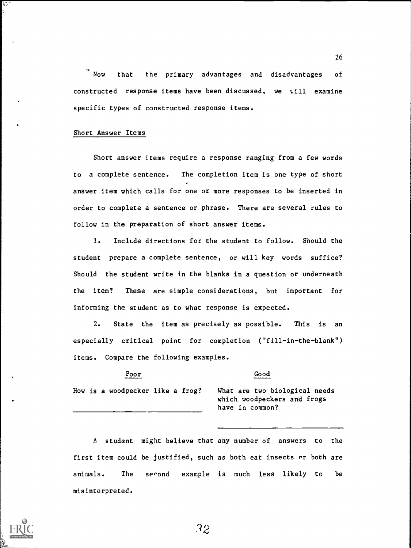Now that the primary advantages and disadvantages of constructed response items have been discussed, we v.ill examine specific types of constructed response items.

#### Short Answer Items

Short answer items require a response ranging from a few words to a complete sentence. The completion item is one type of short answer item which calls for one or more responses to be inserted in order to complete a sentence or phrase. There are several rules to follow in the preparation of short answer items.

1. Include directions for the student to follow. Should the student prepare a complete sentence, or will key words suffice? Should the student write in the blanks in a question or underneath the item? These are simple considerations, but important for informing the student as to what response is expected.

2. State the item as precisely as possible. This is an especially critical point for completion ("fill-in-the-blank") items. Compare the following examples.

Poor Good

How is a woodpecker like a frog? What are two biological needs

which woodpeckers and frogs have in common?

A student might believe that any number of answers to the first item could be justified, such as both eat insects  $\alpha r$  both are animals. The second example is much less likely to be misinterpreted.

R2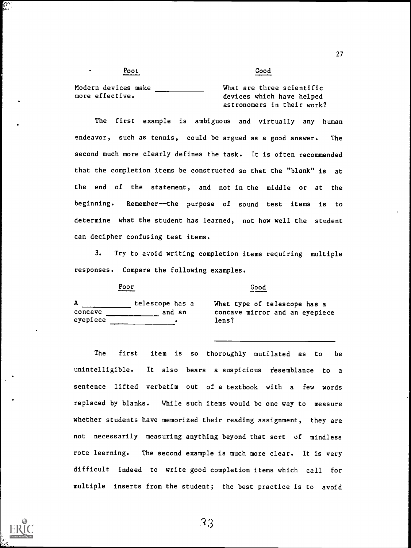Pool Good

Modern devices make more effective.

What are three scientific devices which have helped astronomers in their work?

The first example is ambiguous and virtually any human endeavor, such as tennis, could be argued as a good answer. The second much more clearly defines the task. It is often recommended that the completion items be constructed so that the "blank" is at the end of the statement, and not in the middle or at the beginning. Remember--the purpose of sound test items is to determine what the student has learned, not how well the student can decipher confusing test items.

3. Try to avoid writing completion items requiring multiple responses. Compare the following examples.

a What type of telescope has a concave mirror and an eyepiece<br>lens?

The first item is so thoroughly mutilated as to be unintelligible. It also bears a suspicious resemblance to a sentence lifted verbatim out of a textbook with a few words replaced by blanks. While such items would be one way to measure whether students have memorized their reading assignment, they are not necessarily measuring anything beyond that sort of mindless rote learning. The second example is much more clear. It is very difficult indeed to write good completion items which call for multiple inserts from the student; the best practice is to avoid

33

| Α        | telescope has a | What type of  |
|----------|-----------------|---------------|
| concave  | and an          | concave mirro |
| eyepiece |                 | lens?         |

 $\mathcal{L}$ 

Poor Good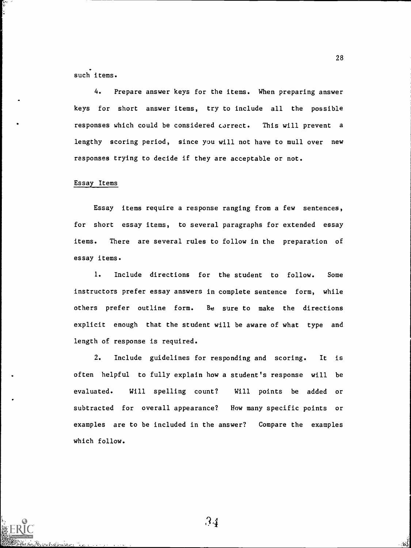such items.

ţ.

4. Prepare answer keys for the items. When preparing answer keys for short answer items, try to include all the possible responses which could be considered correct. This will prevent a lengthy scoring period, since you will not have to mull over new responses trying to decide if they are acceptable or not.

#### Essay Items

Essay items require a response ranging from a few sentences, for short essay items, to several paragraphs for extended essay items. There are several rules to follow in the preparation of essay items.

1. Include directions for the student to follow. Some instructors prefer essay answers in complete sentence form, while others prefer outline form. Be sure to make the directions explicit enough that the student will be aware of what type and length of response is required.

2. Include guidelines for responding and scoring. It is often helpful to fully explain how a student's response will be evaluated. Will spelling count? Will points be added or subtracted for overall appearance? How many specific points or examples are to be included in the answer? Compare the examples which follow.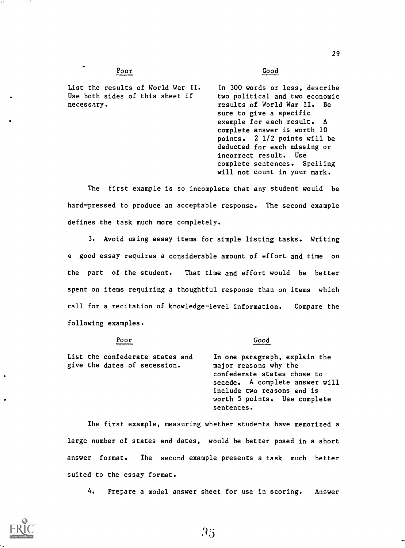#### Poor Good

 $\ddot{\phantom{a}}$ 

List the results of World War II. Use both sides of this sheet if necessary.

In 300 words or less, describe two political and two economic results of World War II. Be sure to give a specific example for each result. A complete answer is worth 10 points. 2 1/2 points will be deducted for each missing or incorrect result. Use complete sentences. Spelling will not count in your mark.

The first example is so incomplete that any student would be hard-pressed to produce an acceptable response. The second example defines the task much more completely.

3. Avoid using essay items for simple listing tasks. Writing a good essay requires a considerable amount of effort and time on the part of the student. That time and effort would be better spent on items requiring a thoughtful response than on items which call for a recitation of knowledge-level information. Compare the following examples.

#### Poor Good

List the confederate states and give the dates of secession.

In one paragraph, explain the major reasons why the confederate states chose to secede. A complete answer will include two reasons and is worth 5 points. Use complete sentences.

The first example, measuring whether students have memorized a large number of states and dates, would be better posed in a short answer format. The second example presents a task much better suited to the essay format.

4. Prepare a model answer sheet for use in scoring. Answer



29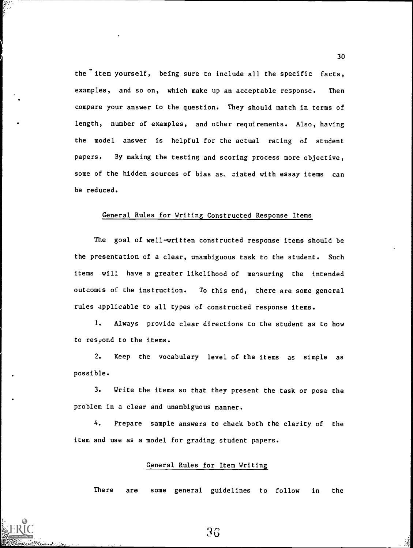the item yourself, being sure to include all the specific facts, examples, and so on, which make up an acceptable response. Then compare your answer to the question. They should match in terms of length, number of examples, and other requirements. Also, having the model answer is helpful for the actual rating of student papers. By making the testing and scoring process more objective, some of the hidden sources of bias as. ziated with essay items can be reduced.

#### General Rules for Writing Constructed Response Items

The goal of well-written constructed response items should be the presentation of a clear, unambiguous task to the student. Such items will have a greater likelihood of mensuring the intended outcomes of the instruction. To this end, there are some general rules applicable to all types of constructed response items.

1. Always provide clear directions to the student as to how to respond to the items.

2. Keep the vocabulary level of the items as simple as possible.

3. Write the items so that they present the task or pose the problem in a clear and unambiguous manner.

4. Prepare sample answers to check both the clarity of the item and use as a model for grading student papers.

#### General Rules for Item Writing

There are some general guidelines to follow in the

36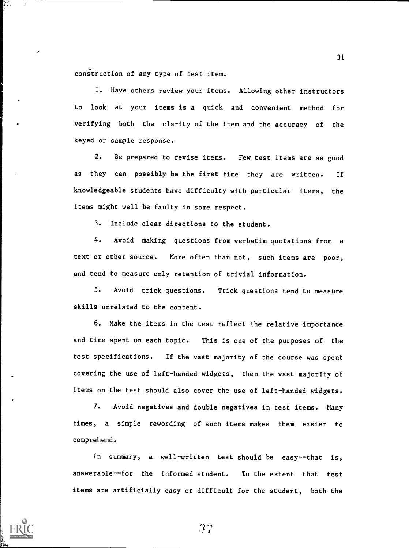construction of any type of test item.

1. Have others review your items. Allowing other instructors to look at your items is a quick and convenient method for verifying both the clarity of the item and the accuracy of the keyed or sample response.

2. Be prepared to revise items. Few test items are as good as they can possibly be the first time they are written. If knowledgeable students have difficulty with particular items, the items might well be faulty in some respect.

3. Include clear directions to the student.

4. Avoid making questions from verbatim quotations from a text or other source. More often than not, such items are poor, and tend to measure only retention of trivial information.

5. Avoid trick questions. Trick questions tend to measure skills unrelated to the content.

6. Make the items in the test reflect the relative importance and time spent on each topic. This is one of the purposes of the test specifications. If the vast majority of the course was spent covering the use of left-handed widgets, then the vast majority of items on the test should also cover the use of left-handed widgets.

7. Avoid negatives and double negatives in test items. Many times, a simple rewording of such items makes them easier to comprehend.

In summary, a well-written test should be easy--that is, answerable--for the informed student. To the extent that test items are artificially easy or difficult for the student, both the

 $37$ 

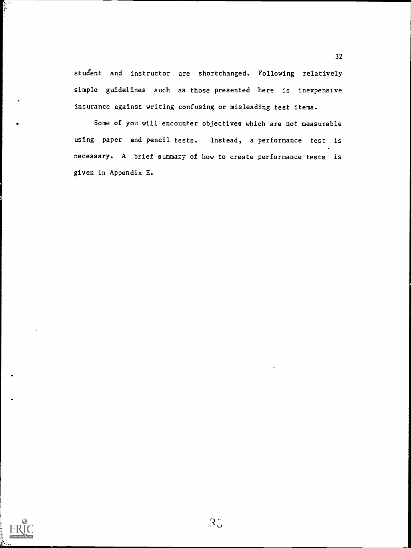student and instructor are shortchanged. Following relatively si mple guidelines such as those presented here is inexpensive in surance against writing confusing or misleading test items.

Some of you will encounter objectives which are not measurable using paper and pencil tests. Instead, a performance test is necessary. A brief summary of how to create performance tests is given in Appendix E.



 $\blacksquare$ 

ون ولا ولي<br>الموالي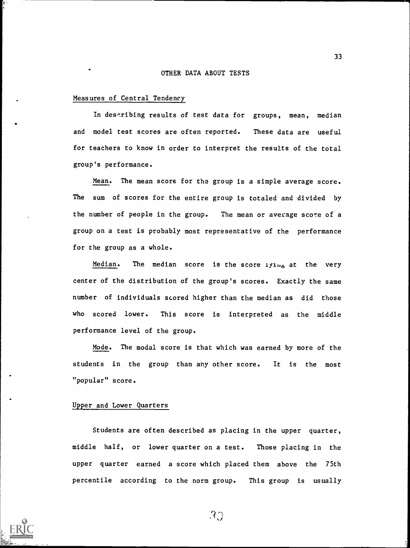#### OTHER DATA ABOUT TESTS

#### Measures of Central Tendency

In describing results of test data for groups, mean, median and model test scores are often reported. These data are useful for teachers to know in order to interpret the results of the total group's performance.

Mean. The mean score for the group is a simple average score. The sum of scores for the entire group is totaled and divided by the number of people in the group. The mean or average score of a group on a test is probably most representative of the performance for the group as a whole.

Median. The median score is the score  $1y1_{16}$  at the very center of the distribution of the group's scores. Exactly the same number of individuals scored higher than the median as did those who scored lower. This score is interpreted as the middle performance level of the group.

Mode. The modal score is that which was earned by more of the students in the group than any other score. It is the most "popular" score.

#### Upper and Lower Quarters

Students are often described as placing in the upper quarter, middle half, or lower quarter on a test. Those placing in the upper quarter earned a score which placed them above the 75th percentile according to the norm group. This group is usually



 $3\Im$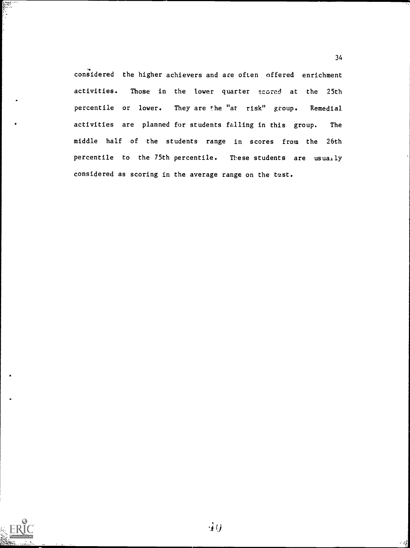considered the higher achievers and are often offered enrichment activities. Those in the lower quarter scored at the 25th percentile or lower. They are the "at risk" group. Remedial activities are planned for students falling in this group. The middle half of the students range in scores from the 26th percentile to the 75th percentile. These students are usually considered as scoring in the average range on the test.

34



E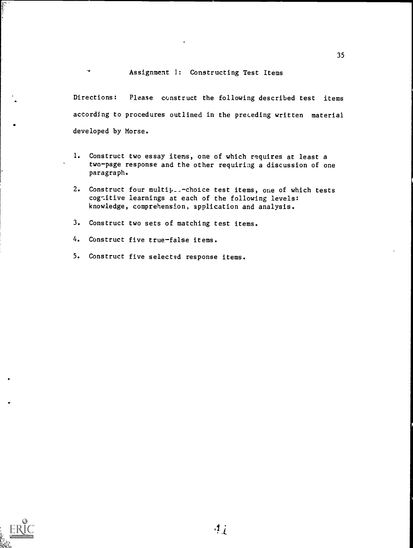#### Assignment 1: Constructing Test Items

Directions: Please construct the following described test items according to procedures outlined in the preceding written material developed by Morse.

- 1. Construct two essay items, one of which requires at least a two-page response and the other requiring a discussion of one paragraph.
- 2. Construct four multip..- choice test items, one of which tests cognitive learnings at each of the following levels: knowledge, comprehension, application and analysis.
- 3. Construct two sets of matching test items.
- 4. Construct five true-false items.

 $\sim$ 

5. Construct five selected response items.



in Marie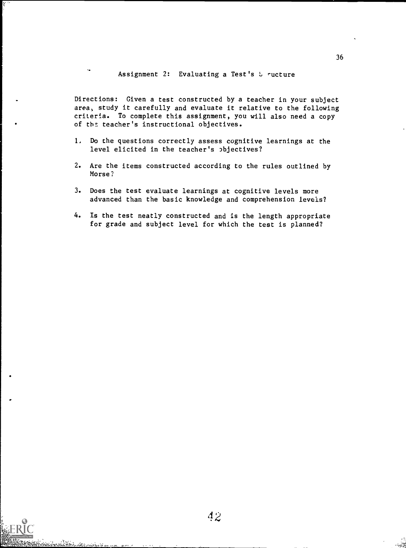Assignment 2: Evaluating a Test's  $5$  ructure

Directions: Given a test constructed by a teacher in your subject area, study it carefully and evaluate it relative to the following criteria. To complete this assignment, you will also need a copy of the teacher's instructional objectives.

- I. Do the questions correctly assess cognitive learnings at the level elicited in the teacher's objectives?
- 2. Are the items constructed according to the rules outlined by Morse?
- 3. Does the test evaluate learnings at cognitive levels more advanced than the basic knowledge and comprehension levels?
- 4. Is the test neatly constructed and is the length appropriate for grade and subject level for which the test is planned?

المحالي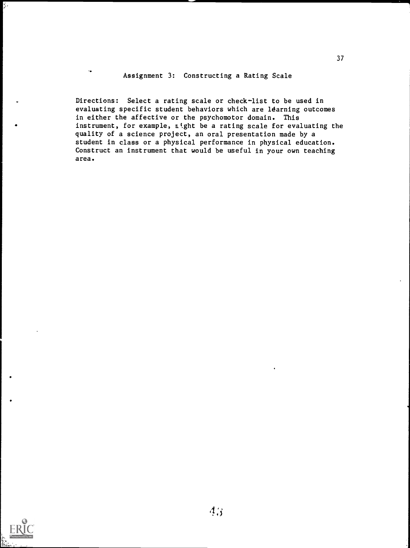#### Assignment 3: Constructing a Rating Scale

Directions: Select a rating scale or check-list to be used in evaluating specific student behaviors which are ldarning outcomes in either the affective or the psychomotor domain. This instrument, for example, night be a rating scale for evaluating the quality of a science project, an oral presentation made by a student in class or a physical performance in physical education. Construct an instrument that would be useful in your own teaching area.



 $\frac{1}{2}$  .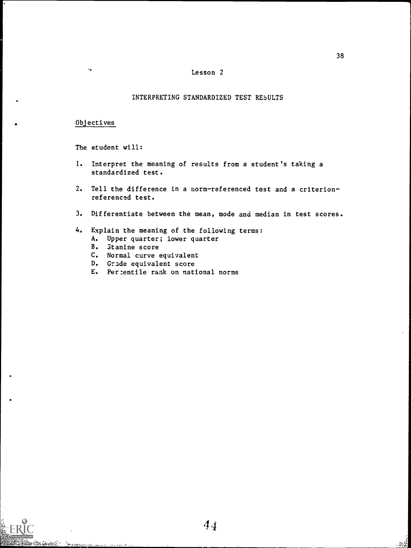#### Lesson 2

#### INTERPRETING STANDARDIZED TEST RESULTS

#### . Objectives

Westward Summing

The student will:

- I. Interpret the meaning of results from a student's taking a standardized test.
- 2. Tell the difference in a norm-referenced test and a criterionreferenced test.
- 3. Differentiate between the mean, mode and median in test scores.

#### 4. Explain the meaning of the following terms:

- A. Upper quarter; lower quarter
- B. 3tanine score
- C. Normal curve equivalent
- D. Grade equivalent score
- E. Per:entile rank on national norms

 $\mathbb{Z}_2^{\mathbb{Z}_2^2}$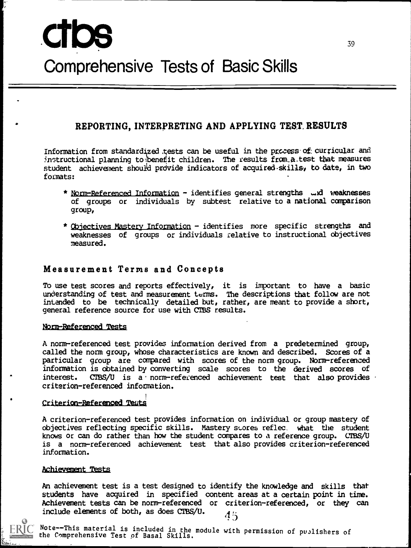# ctbs Comprehensive Tests of Basic Skills

# REPORTING, INTERPRETING AND APPLYING TEST. RESULTS

Information from standardized .tests can be useful in the process of curricular and instructional planning to benefit children. The results from  $a$  test that measures student achievement should provide indicators of acquired-skills, to date, in two formats:

- \* Norm-Referenced Information identifies general strengths .......d weaknesses of groups or individuals by subtest relative to a national comparison group,
- \* Qbjectives Mastery Information identifies more specific strengths and weaknesses of groups or individuals relative to instructional objectives measured.

#### Measurement Terms and Concepts

To use test scores and reports effectively, it is important to have a basic understanding of test and measurement terms. The descriptions that follow are not intended to be technically detailed but, rather, are meant to provide a short, general reference source for use with CTBS results.

#### Norm-Referenced Tests

A norm-referenced test provides information derived from a predetermined group, called the norm group, whose characteristics are known and described. Scores of a particular group are compared with scores of the norm group. Norm-referenced information is obtained by converting scale scores to the derived scores of  $CTBS/U$  is a norm-referenced achievement test that also provides criterion-referenced information.

#### Criterion-Referenced Teats

A criterion-referenced test provides information on individual or group mastery of objectives reflecting specific skills. Mastery stores reflec, what the student knows or can do rather than how the student compares to a reference group. CTBS/U is a norm-referenced achievement test that also provides criterion-referenced information.

#### Achievement\_Tests

An achievement test is a test designed to identify the knowledge and skills that students have acquired in specified content areas at a certain point in time. Achievement tests can be norm-referenced or criterion-referenced, or they can include elements of both, as does CIBS/U.  $4\frac{1}{2}$ 



Note--This material is included in the module with permission of puplishers of the Comprehensive Test of Basal Skills.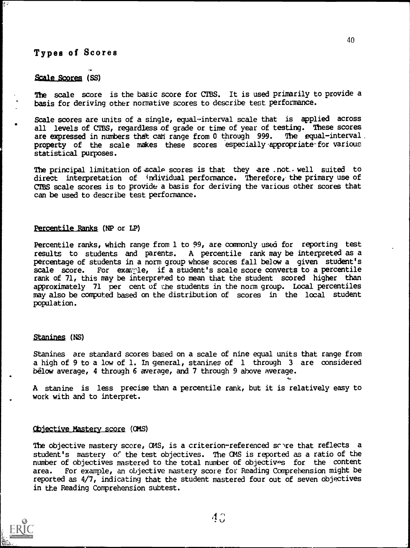## Types of Scores

#### Scale Scores (SS)

The scale score is the basic score for CTBS. It is used primarily to provide a basis for deriving other normative scores to describe test performance.

Scale scores are units of a single, equal-interval scale that is applied across all levels of CIBS, regardless of grade or time of year of testing. These scores are expressed in numbers that can range from 0 through 999. The equal-interval are expressed in numbers that can range from 0 through 999. property of the scale makes these scores especially.appropriate-for various statistical purposes.

The principal limitation of scale scores is that they are .not, well suited to direct interpretation of individual performance. Therefore, the primary use of CTES scale scores is to provide a basis for deriving the various other scores that can be used to describe test performance.

#### Percentile Ranks (NP or LP)

Percentile ranks, which range from 1 to 99, are commonly used for reporting test results to students and parents. A percentile rank may be interpreted as a percentage of students in a norm group whose scores fall below a given student's scale score. For example, if a student's scale score converts to a percentile rank of 71, this may be interpreted to mean that the student scored higher than approximately 71 per cent of the students in the norm group. Local percentiles may also be computed based on the distribution of scores in the local student population.

#### Stanines (NS)

Stanines are standard scores based on a scale of nine equal units that range from a high of 9 to a low of 1. In general, stanines of 1 through 3 are considered below average, 4 through 6 average, and 7 through 9 above average.

A stanine is less precise than a percentile rank, but it is relatively easy to work with and to interpret.

#### objective Mastery score (CMS)

The objective mastery score,  $\alpha$ MS, is a criterion-referenced some that reflects a student's mastery of the test objectives. The CMS is reported as a ratio of the number of objectives mastered to the total number of objectives for the content area. For example, an objective mastery score for Reading Comprehension might be reported as 4/7, indicating that the student mastered four out of seven objectives in the Reading Comprehension subtest.

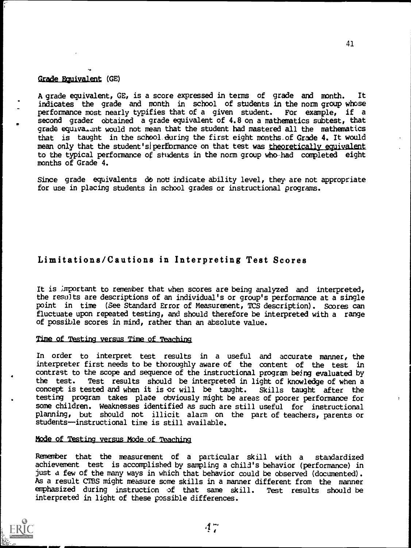#### Grade Equivalent (GE)

A grade equivalent, GE, is a score expressed in terms of grade and month. It indicates the grade and month in school of students in the norm group whose performance most nearly typifies that of a given student. For example, if a second grader obtained a grade equivalent of 4.8 on a mathematics subtest, that grade equiva. Int would not mean that the student had mastered all the mathematics that is taught in the school during the first eight months of Grade 4. It would mean only that the student's performance on that test was theoretically equivalent to the typical performance of students in the norm group who had completed eight months of Grade 4.

Since grade equivalents do not indicate ability level, they are not appropriate for use in placing students in school grades or instructional programs.

## Limitations/Cautions in Interpreting Test Scores

It is important to remember that when scores are being analyzed and interpreted, the results are descriptions of an individual's or group's performance at a single point in time (See Standard Error of Measurement, TCS description). Scores can fluctuate upon repeated testing, and should therefore be interpreted with a range of possible scores in mind, rather than an absolute value.

#### Time of Testing versus Time of Teaching

In order to interpret test results in a useful and accurate manner, the interpreter first needs to be thoroughly aware of the content of the test in contrast to the scope and sequence of the instructional program being evaluated by the test. Test results should be interpreted in light of knowledge of when a concept is tested and when it is or will be taught. Skills taught after the concept is tested and when it is or will be taught. testing program takes place obviously might be areas of poorer performance for some children. Weaknesses identified as such are still useful for instructional planning, but should not illicit alarm on the part of teachers, parents or students-instructional time is still available.

#### Mode of Testing versus Mode of Teaching

Remember that the measurement of a particular skill with a standardized achievement test is accomplished by sampling a child's behavior (performance) in just a few of the many ways in which that behavior could be observed (documented). As a result CTBS might measure some skills in a manner different from the manner emphasized during instruction of that same skill. Test results should be interpreted in light of these possible differences.

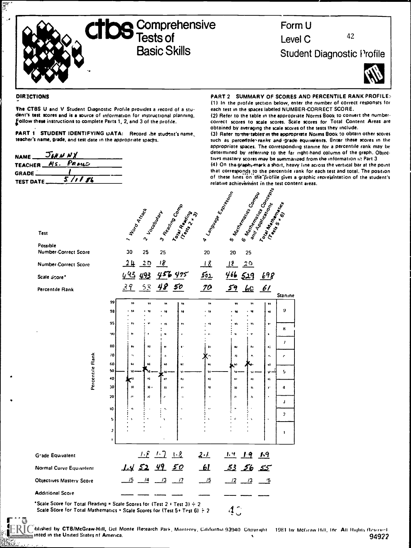

# Form U Level C

Student Diagnostic Profile

42



#### DIRECTIONS

 $\frac{1}{2}$  $\cdot$ 

> The CTBS U and V Student Diagnostic Profile provides a record of a stu dent's test scores and is a source of information for instructional planning, ollow these instructions to complete Parts 1, 2, and 3 of the profile.

> PART 1 STUDENT IDENTIFYING DATA: Record the student's name, teacher's name, grade, and test date in the appropriate spachs.

| <b>NAME</b>       | JOHN NX |      |
|-------------------|---------|------|
| TEACHER Ms. PROUD |         |      |
| <b>GRADE</b>      |         |      |
| <b>TEST DATE_</b> |         | 1113 |

PART 2 SUMMARY OF SCORES AND PERCENTILE RANK PROFILE: (1) In the profile section below, enter the number of correct responses for each test in the spaces labeled NUMBER-CORRECT SCORE.

(2) Refer to the table in the appropriate Norms Book to convert the numbercorrect scores to scale scores. Scale scores for Total Content Areas are obtained by averaging the scale scores of the tests they include.

(3) Refer to the tables m the appropriate Norms Book to obtain other scores such as perceritiles ranks and grade equivalents. Enter these scores in the appropriate spaces. The corresponding stanine for a percentile rank may be determined by referring to the far right-hand column of the graph. Objectives mastery scores may be summarized from the information in Part 3.

(4) On thegraphymerk a short, heavy line across the vertical bar at the point that corresponds to the percentile rank for each test and total. The position of these lines on the profile gives a graphic representation of the student's relative achievement in the test content areas.

 $\mathbf{z}$ 

| <b>Test</b>                      |                               | I Hood Atlack   |                       | Locatoway                 | J Ready Ta Comp<br>Town Barring | Language Exposure | 4                                        | S Namband Company                | 6 Names Road<br>Townshipson<br>and Application |                         |
|----------------------------------|-------------------------------|-----------------|-----------------------|---------------------------|---------------------------------|-------------------|------------------------------------------|----------------------------------|------------------------------------------------|-------------------------|
| Possible<br>Number-Correct Score |                               | 30              | 25                    | 25                        |                                 | 20                | 20                                       | 25                               |                                                |                         |
| Number-Correct Score             |                               | 24              | 20                    | 18                        |                                 | 18                | 75                                       | 20                               |                                                |                         |
| Scale Score*                     |                               | <u>443</u>      | 493                   |                           | 456475                          | $\frac{501}{50}$  | 466                                      | 519                              | 698                                            |                         |
| Percentile Rank                  |                               | 39              | $\frac{53}{2}$        | 48                        | 50                              | <u>70</u>         | 59                                       | 60                               | 61                                             | <b>Stanine</b>          |
|                                  | 99                            | 99              | 99                    | 99                        | 11                              | 94                | 99                                       | 94                               | 99                                             | 9                       |
| Percentile Rank                  | 98                            | w               | 98                    | . 98                      | ٧Ė                              | . 98              | 98                                       | 98                               | $\bullet\bullet$                               |                         |
|                                  | 95<br>90                      | ,,<br>Ŷ,        | ٠                     | $-35$<br>$\bullet$        | ٧١<br>٠                         | . 45              | $\bullet$<br>M.                          | $\bullet\bullet$<br>$\mathbf{v}$ | ÷.<br>٠                                        | 8                       |
|                                  | 80                            |                 |                       | ÷                         |                                 |                   |                                          |                                  |                                                | $\prime$                |
|                                  | 70                            | 8U<br>'n.       | $\bullet\circ$<br>٠J. | $\mathbf{H}$<br>$\pmb{h}$ | $\bullet$<br>$\epsilon$         | ŧυ                | $\bullet$<br>$\boldsymbol{r}$            | $\pmb{\mathsf{a}}$<br>Ħ,         | $\bullet$<br>$\mathbf{e}_k$                    | c                       |
|                                  | 60                            | 69              | 60                    | NÓ.                       | t.                              | $\bullet$         | $\omega$                                 |                                  | $\bullet$                                      |                         |
|                                  | 50<br>40                      | 50<br>ø۵        | 40                    | ١o<br>40                  | St.<br>40                       | 50<br>$\bullet$   | w<br>$\ddot{\bullet}$                    | w<br>$\bullet \bullet$           | se-<br>46                                      | 5                       |
|                                  | 30                            | 10              | ю.                    | $\overline{10}$           | m                               | ۱ô                | 10                                       | ĸ                                | $\mathbf{y}^{\star}$                           | $\ddot{\phantom{a}}$    |
|                                  | 20                            | $\mu$           | Æ                     | $\boldsymbol{\mu}$<br>ŧ   | $\overline{u}$                  | ł.                | $\boldsymbol{H}$                         | 'n                               |                                                | J                       |
|                                  | 10                            | st.             |                       | ×,                        | 'n,                             |                   |                                          | $\ddot{\phantom{0}}$             |                                                | $\overline{\mathbf{z}}$ |
|                                  | 5                             |                 |                       |                           |                                 |                   |                                          | ٠                                |                                                |                         |
|                                  | $\mathfrak z$<br>$\mathbf{r}$ |                 |                       |                           |                                 |                   |                                          |                                  |                                                | $\mathbf{I}$            |
| Grade Equivalent                 |                               |                 | $\perp \hat{L}$       | $\perp$                   | 1.8                             | 2.1               | 1.9                                      | 19                               | 1.9                                            |                         |
| Normal Curve Equivalent          |                               | 1452            |                       | <u>49</u>                 | <u>50</u>                       | $\mathbf{H}$      | <u>53              56             55</u> |                                  |                                                |                         |
| <b>Objectives Mastery Score</b>  |                               | $\overline{15}$ | $-14$                 | <u>_/3</u>                | $\frac{17}{2}$                  | $\frac{15}{2}$    | $\frac{12}{13}$                          |                                  | $-5$                                           |                         |
| <b>Additional Score</b>          |                               |                 |                       |                           |                                 |                   |                                          |                                  |                                                |                         |
| Conta Conseillos Torri Donaldo a |                               |                 |                       |                           |                                 |                   |                                          |                                  |                                                |                         |

Total Reading = Scale Scores for (Test 2 4 Test 3)  $\div$  2 Scale Score for Total Mathematics = Scale Scores for (Test 5+ Test 6)  $\div$  2  $\left(\begin{array}{cc} 2 & 2 \end{array}\right)$ 

writed by FRIC taished by CTB/McGraw-Hill, Del Monte Research Park, Monterey, California 93940. Copyright 1981 by McGraw Hill, Inc. All Rights Reserved (1989) [1] anted in the United States nf America. 94922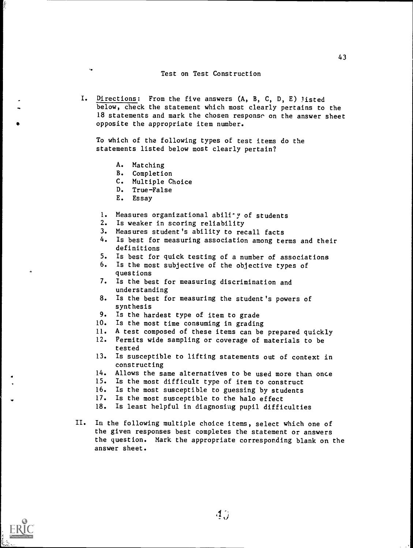#### Test on Test Construction

I. Directions: From the five answers (A, B, C, D, E) listed below, check the statement which most clearly pertains to the 18 statements and mark the chosen response on the answer sheet opposite the appropriate item number.

To which of the following types of test items do the statements listed below most clearly pertain?

- A. Matching
- B. Completion
- C. Multiple Choice
- D. True-False
- E. Essay
- 1. Measures organizational abili'y of students
- 2. Is weaker in scoring reliability
- 3. Measures student's ability to recall facts
- 4. Is best for measuring association among terms and their definitions
- 5. Is best for quick testing of a number of associations
- 6. Is the most subjective of the objective types of questions
- 7. Is the best for measuring discrimination and understanding
- 8. Is the best for measuring the student's powers of synthesis
- 9. Is the hardest type of item to grade
- 10. Is the most time consuming in grading
- 11. A test composed of these items can be prepared quickly
- 12. Permits wide sampling or coverage of materials to be tested
- 13. Is susceptible to lifting statements out of context in constructing
- 14. Allows the same alternatives to be used more than once
- 15. Is the most difficult type of item to construct
- 16. Is the most susceptible to guessing by students
- 17. Is the most susceptible to the halo effect
- 18. Is least helpful in diagnosing pupil difficulties
- II. In the following multiple choice items, select which one of the given responses best completes the statement or answers the question. Mark the appropriate corresponding blank on the answer sheet.

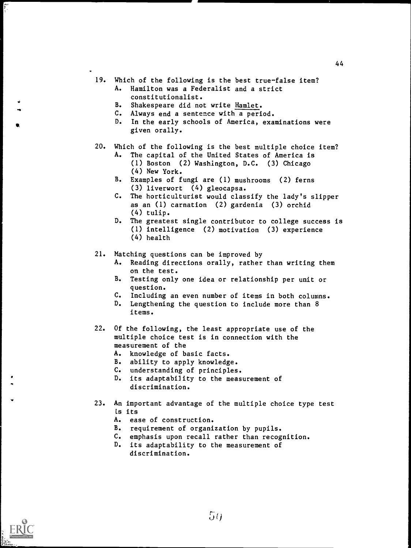- 19. Which of the following is the best true-false item? A. Hamilton was a Federalist and a strict
	- constitutionalist.
	- B. Shakespeare did not write Hamlet.<br>C. Always end a sentence with a peri
	- Always end a sentence with a period.
	- D. In the early schools of America, examinations were given orally.
- 20. Which of the following is the best multiple choice item?
	- A. The capital of the United States of America is (1) Boston (2) Washington, D.C. (3) Chicago (4) New York.
	- B. Examples of fungi are (1) mushrooms (2) ferns (3) liverwort (4) gleocapsa.
	- C. The horticulturist would classify the lady's slipper as an (1) carnation (2) gardenia (3) orchid (4) tulip.
	- D. The greatest single contributor to college success is (1) intelligence (2) motivation (3) experience (4) health

21. Matching questions can be improved by

- A. Reading directions orally, rather than writing them on the test.
- B. Testing only one idea or relationship per unit or question.
- C. Including an even number of items in both columns.
- Lengthening the question to include more than 8 items.
- 22. Of the following, the least appropriate use of the multiple choice test is in connection with the measurement of the
	- A. knowledge of basic facts.
	- B. ability to apply knowledge.
	- C. understanding of principles.
	- D. its adaptability to the measurement of discrimination.
- 23. An important advantage of the multiple choice type test is its
	- A. ease of construction.
	- B. requirement of organization by pupils.
	- C. emphasis upon recall rather than recognition.
	- D. its adaptability to the measurement of discrimination.

 $50$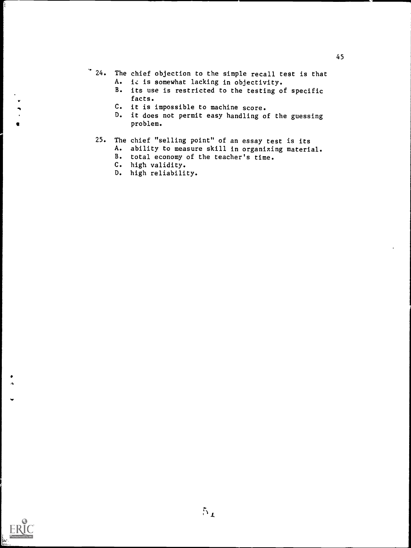- 24. The chief objection to the simple recall test is that A. is is somewhat lacking in objectivity.
	- B. its use is restricted to the testing of specific facts.
	- C. it is impossible to machine score.
	- D. it does not permit easy handling of the guessing problem.

# 25. The chief "selling point" of an essay test is its

 $5_L$ 

- A. ability to measure skill in organizing material.
- B. total economy of the teacher's time.
- C. high validity.

ft

e

D. high reliability.